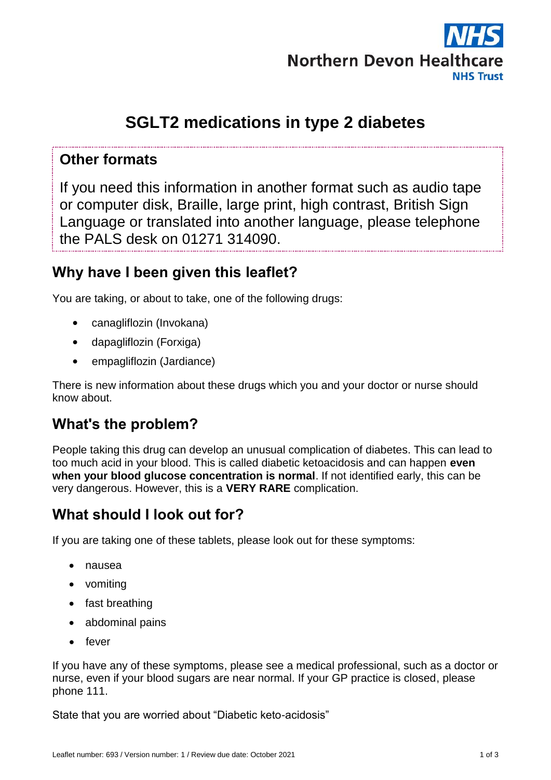

# **SGLT2 medications in type 2 diabetes**

#### **Other formats**

If you need this information in another format such as audio tape or computer disk, Braille, large print, high contrast, British Sign Language or translated into another language, please telephone the PALS desk on 01271 314090.

### **Why have I been given this leaflet?**

You are taking, or about to take, one of the following drugs:

- canagliflozin (Invokana)
- dapagliflozin (Forxiga)
- empagliflozin (Jardiance)

There is new information about these drugs which you and your doctor or nurse should know about.

### **What's the problem?**

People taking this drug can develop an unusual complication of diabetes. This can lead to too much acid in your blood. This is called diabetic ketoacidosis and can happen **even when your blood glucose concentration is normal**. If not identified early, this can be very dangerous. However, this is a **VERY RARE** complication.

# **What should I look out for?**

If you are taking one of these tablets, please look out for these symptoms:

- nausea
- vomiting
- fast breathing
- abdominal pains
- $\bullet$  fever

If you have any of these symptoms, please see a medical professional, such as a doctor or nurse, even if your blood sugars are near normal. If your GP practice is closed, please phone 111.

State that you are worried about "Diabetic keto-acidosis"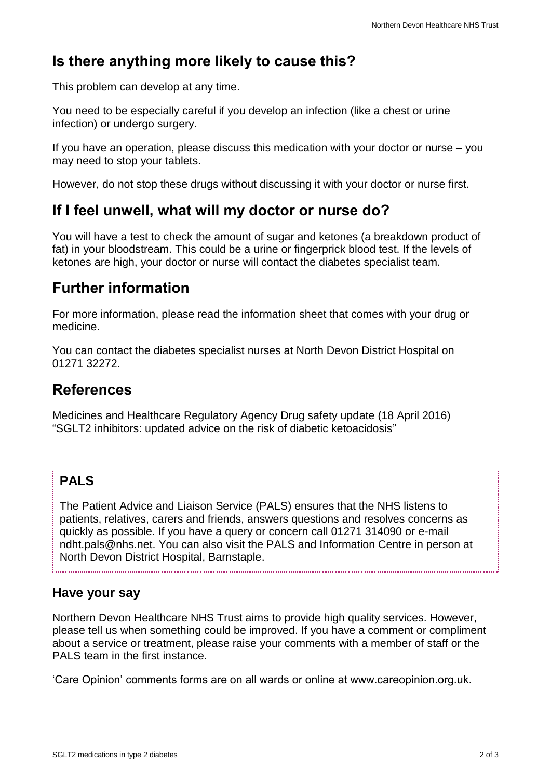# **Is there anything more likely to cause this?**

This problem can develop at any time.

You need to be especially careful if you develop an infection (like a chest or urine infection) or undergo surgery.

If you have an operation, please discuss this medication with your doctor or nurse – you may need to stop your tablets.

However, do not stop these drugs without discussing it with your doctor or nurse first.

#### **If I feel unwell, what will my doctor or nurse do?**

You will have a test to check the amount of sugar and ketones (a breakdown product of fat) in your bloodstream. This could be a urine or fingerprick blood test. If the levels of ketones are high, your doctor or nurse will contact the diabetes specialist team.

### **Further information**

For more information, please read the information sheet that comes with your drug or medicine.

You can contact the diabetes specialist nurses at North Devon District Hospital on 01271 32272.

#### **References**

Medicines and Healthcare Regulatory Agency Drug safety update (18 April 2016) "SGLT2 inhibitors: updated advice on the risk of diabetic ketoacidosis"

#### **PALS**

The Patient Advice and Liaison Service (PALS) ensures that the NHS listens to patients, relatives, carers and friends, answers questions and resolves concerns as quickly as possible. If you have a query or concern call 01271 314090 or e-mail ndht.pals@nhs.net. You can also visit the PALS and Information Centre in person at North Devon District Hospital, Barnstaple.

#### **Have your say**

Northern Devon Healthcare NHS Trust aims to provide high quality services. However, please tell us when something could be improved. If you have a comment or compliment about a service or treatment, please raise your comments with a member of staff or the PALS team in the first instance.

'Care Opinion' comments forms are on all wards or online at www.careopinion.org.uk.